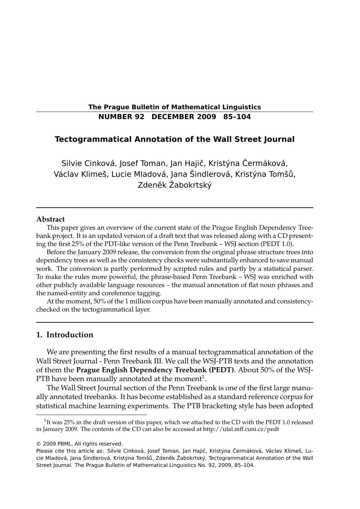# **The Prague Bulletin of Mathematical Linguistics NUMBER 92 DECEMBER 2009 85–104**

# **Tectogrammatical Annotation of the Wall Street Journal**

Silvie Cinková, Josef Toman, Jan Hajič, Kristýna Čermáková, Václav Klimeš, Lucie Mladová, Jana Šindlerová, Kristýna Tomšů, Zdeněk Žabokrtský

### **Abstract**

This paper gives an overview of the current state of the Prague English Dependency Treebank project. It is an updated version of a draft text that was released along with a CD presenting the first 25% of the PDT-like version of the Penn Treebank – WSJ section (PEDT 1.0).

Before the January 2009 release, the conversion from the original phrase structure trees into dependency trees as well as the consistency checks were substantially enhanced to save manual work. The conversion is partly performed by scripted rules and partly by a statistical parser. To make the rules more powerful, the phrase-based Penn Treebank – WSJ was enriched with other publicly available language resources – the manual annotation of flat noun phrases and the named-entity and coreference tagging.

At the moment, 50% of the 1 million corpus have been manually annotated and consistencychecked on the tectogrammatical layer.

# **1. Introduction**

We are presenting the first results of a manual tectogrammatical annotation of the Wall Street Journal - Penn Treebank III. We call the WSJ-PTB texts and the annotation of them the **Prague English Dependency Treebank (PEDT)**. About 50% of the WSJ-PTB have been manually annotated at the moment $^{\rm 1}.$ 

The Wall Street Journal section of the Penn Treebank is one of the first large manually annotated treebanks. It has become established as a standard reference corpus for statistical machine learning experiments. The PTB bracketing style has been adopted

<sup>&</sup>lt;sup>1</sup>It was 25% in the draft version of this paper, which we attached to the CD with the PEDT 1.0 released in January 2009. The contents of the CD can also be accessed at http://ufal.mff.cuni.cz/pedt

<sup>© 2009</sup> PBML. All rights reserved.

Please cite this article as: Silvie Cinková, Josef Toman, Jan Hajič, Kristýna Čermáková, Václav Klimeš, Lucie Mladová, Jana Šindlerová, Kristýna Tomšů, Zdeněk Žabokrtský, Tectogrammatical Annotation of the Wall Street Journal. The Prague Bulletin of Mathematical Linguistics No. 92, 2009, 85–104.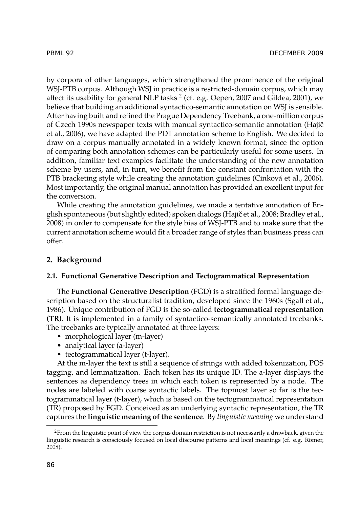by corpora of other languages, which strengthened the prominence of the original WSJ-PTB corpus. Although WSJ in practice is a restricted-domain corpus, which may affect its usability for general NLP tasks  $^2$  (cf. e.g. Oepen, 2007 and Gildea, 2001), we believe that building an additional syntactico-semantic annotation on WSJ is sensible. After having built and refined the Prague Dependency Treebank, a one-million corpus of Czech 1990s newspaper texts with manual syntactico-semantic annotation (Hajič et al., 2006), we have adapted the PDT annotation scheme to English. We decided to draw on a corpus manually annotated in a widely known format, since the option of comparing both annotation schemes can be particularly useful for some users. In addition, familiar text examples facilitate the understanding of the new annotation scheme by users, and, in turn, we benefit from the constant confrontation with the PTB bracketing style while creating the annotation guidelines (Cinková et al., 2006). Most importantly, the original manual annotation has provided an excellent input for the conversion.

While creating the annotation guidelines, we made a tentative annotation of English spontaneous (but slightly edited) spoken dialogs (Hajič et al., 2008; Bradley et al., 2008) in order to compensate for the style bias of WSJ-PTB and to make sure that the current annotation scheme would fit a broader range of styles than business press can offer.

# **2. Background**

### **2.1. Functional Generative Description and Tectogrammatical Representation**

The **Functional Generative Description** (FGD) is a stratified formal language description based on the structuralist tradition, developed since the 1960s (Sgall et al., 1986). Unique contribution of FGD is the so-called **tectogrammatical representation (TR)**. It is implemented in a family of syntactico-semantically annotated treebanks. The treebanks are typically annotated at three layers:

- morphological layer (m-layer)
- analytical layer (a-layer)
- tectogrammatical layer (t-layer).

At the m-layer the text is still a sequence of strings with added tokenization, POS tagging, and lemmatization. Each token has its unique ID. The a-layer displays the sentences as dependency trees in which each token is represented by a node. The nodes are labeled with coarse syntactic labels. The topmost layer so far is the tectogrammatical layer (t-layer), which is based on the tectogrammatical representation (TR) proposed by FGD. Conceived as an underlying syntactic representation, the TR captures the **linguistic meaning of the sentence**. By *linguistic meaning* we understand

<sup>&</sup>lt;sup>2</sup>From the linguistic point of view the corpus domain restriction is not necessarily a drawback, given the linguistic research is consciously focused on local discourse patterns and local meanings (cf. e.g. Römer, 2008).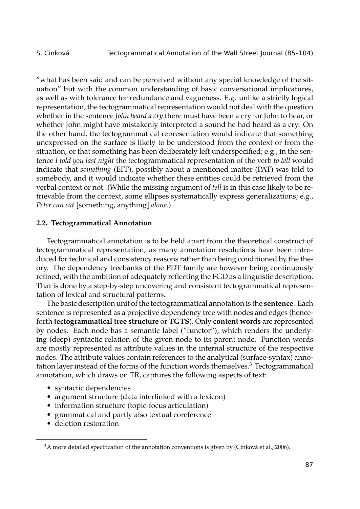"what has been said and can be perceived without any special knowledge of the situation" but with the common understanding of basic conversational implicatures, as well as with tolerance for redundance and vagueness. E.g. unlike a strictly logical representation, the tectogrammatical representation would not deal with the question whether in the sentence *John heard a cry* there must have been a cry for John to hear, or whether John might have mistakenly interpreted a sound he had heard as a cry. On the other hand, the tectogrammatical representation would indicate that something unexpressed on the surface is likely to be understood from the context or from the situation, or that something has been deliberately left underspecified; e.g., in the sentence *I told you last night* the tectogrammatical representation of the verb *to tell* would indicate that *something* (EFF), possibly about a mentioned matter (PAT) was told to somebody, and it would indicate whether these entities could be retrieved from the verbal context or not. (While the missing argument of *tell* is in this case likely to be retrievable from the context, some ellipses systematically express generalizations; e.g., *Peter can eat* [something, anything] *alone*.)

### **2.2. Tectogrammatical Annotation**

Tectogrammatical annotation is to be held apart from the theoretical construct of tectogrammatical representation, as many annotation resolutions have been introduced for technical and consistency reasons rather than being conditioned by the theory. The dependency treebanks of the PDT family are however being continuously refined, with the ambition of adequately reflecting the FGD as a linguistic description. That is done by a step-by-step uncovering and consistent tectogrammatical representation of lexical and structural patterns.

The basic description unit of the tectogrammatical annotation is the **sentence**. Each sentence is represented as a projective dependency tree with nodes and edges (henceforth **tectogrammatical tree structure** or **TGTS**). Only **content words** are represented by nodes. Each node has a semantic label ("functor"), which renders the underlying (deep) syntactic relation of the given node to its parent node. Function words are mostly represented as attribute values in the internal structure of the respective nodes. The attribute values contain references to the analytical (surface-syntax) annotation layer instead of the forms of the function words themselves.<sup>3</sup> Tectogrammatical annotation, which draws on TR, captures the following aspects of text:

- syntactic dependencies
- argument structure (data interlinked with a lexicon)
- information structure (topic-focus articulation)
- grammatical and partly also textual coreference
- deletion restoration

 $3A$  more detailed specification of the annotation conventions is given by (Cinková et al., 2006).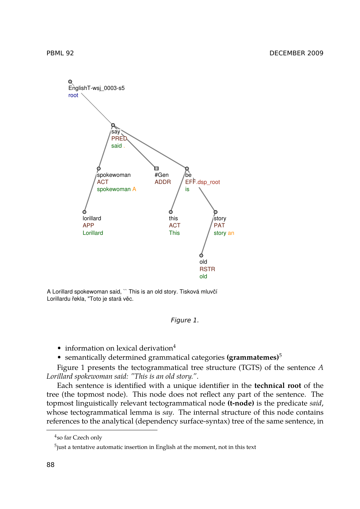

A Lorillard spokewoman said, `` This is an old story. Tisková mluvčí Lorillardu řekla, "Toto je stará věc.

### *Figure 1.*

- information on lexical derivation<sup>4</sup>
- semantically determined grammatical categories **(grammatemes)**<sup>5</sup>

Figure 1 presents the tectogrammatical tree structure (TGTS) of the sentence *A Lorillard spokewoman said: "This is an old story."*.

Each sentence is identified with a unique identifier in the **technical root** of the tree (the topmost node). This node does not reflect any part of the sentence. The topmost linguistically relevant tectogrammatical node **(t-node)** is the predicate *said*, whose tectogrammatical lemma is *say*. The internal structure of this node contains references to the analytical (dependency surface-syntax) tree of the same sentence, in

<sup>4</sup> so far Czech only

 $^5$ just a tentative automatic insertion in English at the moment, not in this text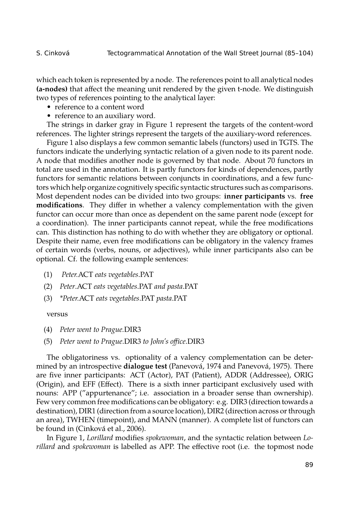which each token is represented by a node. The references point to all analytical nodes **(a-nodes)** that affect the meaning unit rendered by the given t-node. We distinguish two types of references pointing to the analytical layer:

- reference to a content word
- reference to an auxiliary word.

The strings in darker gray in Figure 1 represent the targets of the content-word references. The lighter strings represent the targets of the auxiliary-word references.

Figure 1 also displays a few common semantic labels (functors) used in TGTS. The functors indicate the underlying syntactic relation of a given node to its parent node. A node that modifies another node is governed by that node. About 70 functors in total are used in the annotation. It is partly functors for kinds of dependences, partly functors for semantic relations between conjuncts in coordinations, and a few functors which help organize cognitively specific syntactic structures such as comparisons. Most dependent nodes can be divided into two groups: **inner participants** vs. **free modifications**. They differ in whether a valency complementation with the given functor can occur more than once as dependent on the same parent node (except for a coordination). The inner participants cannot repeat, while the free modifications can. This distinction has nothing to do with whether they are obligatory or optional. Despite their name, even free modifications can be obligatory in the valency frames of certain words (verbs, nouns, or adjectives), while inner participants also can be optional. Cf. the following example sentences:

- (1) *Peter.*ACT *eats vegetables*.PAT
- (2) *Peter*.ACT *eats vegetables*.PAT *and pasta*.PAT
- (3) *\*Peter.*ACT *eats vegetables*.PAT *pasta*.PAT

### versus

- (4) *Peter went to Prague.*DIR3
- (5) *Peter went to Prague*.DIR3 *to John's office*.DIR3

The obligatoriness vs. optionality of a valency complementation can be determined by an introspective **dialogue test** (Panevová, 1974 and Panevová, 1975). There are five inner participants: ACT (Actor), PAT (Patient), ADDR (Addressee), ORIG (Origin), and EFF (Effect). There is a sixth inner participant exclusively used with nouns: APP ("appurtenance"; i.e. association in a broader sense than ownership). Few very common free modifications can be obligatory: e.g. DIR3 (direction towards a destination), DIR1 (direction from a source location), DIR2 (direction across or through an area), TWHEN (timepoint), and MANN (manner). A complete list of functors can be found in (Cinková et al., 2006).

In Figure 1, *Lorillard* modifies *spokewoman*, and the syntactic relation between *Lorillard* and *spokewoman* is labelled as APP. The effective root (i.e. the topmost node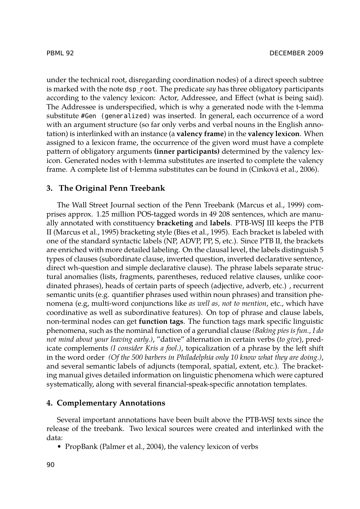under the technical root, disregarding coordination nodes) of a direct speech subtree is marked with the note dsp\_root. The predicate *say* has three obligatory participants according to the valency lexicon: Actor, Addressee, and Effect (what is being said). The Addressee is underspecified, which is why a generated node with the t-lemma substitute #Gen (generalized) was inserted. In general, each occurrence of a word with an argument structure (so far only verbs and verbal nouns in the English annotation) is interlinked with an instance (a **valency frame**) in the **valency lexicon**. When assigned to a lexicon frame, the occurrence of the given word must have a complete pattern of obligatory arguments **(inner participants)** determined by the valency lexicon. Generated nodes with t-lemma substitutes are inserted to complete the valency frame. A complete list of t-lemma substitutes can be found in (Cinková et al., 2006).

## **3. The Original Penn Treebank**

The Wall Street Journal section of the Penn Treebank (Marcus et al., 1999) comprises approx. 1.25 million POS-tagged words in 49 208 sentences, which are manually annotated with constituency **bracketing** and **labels**. PTB-WSJ III keeps the PTB II (Marcus et al., 1995) bracketing style (Bies et al., 1995). Each bracket is labeled with one of the standard syntactic labels (NP, ADVP, PP, S, etc.). Since PTB II, the brackets are enriched with more detailed labeling. On the clausal level, the labels distinguish 5 types of clauses (subordinate clause, inverted question, inverted declarative sentence, direct wh-question and simple declarative clause). The phrase labels separate structural anomalies (lists, fragments, parentheses, reduced relative clauses, unlike coordinated phrases), heads of certain parts of speech (adjective, adverb, etc.) , recurrent semantic units (e.g. quantifier phrases used within noun phrases) and transition phenomena (e.g, multi-word conjunctions like *as well as, not to mention*, etc., which have coordinative as well as subordinative features). On top of phrase and clause labels, non-terminal nodes can get **function tags**. The function tags mark specific linguistic phenomena, such as the nominal function of a gerundial clause *(Baking pies is fun., I do not mind about your leaving early.)*, "dative" alternation in certain verbs (*to give*), predicate complements *(I consider Kris a fool.)*, topicalization of a phrase by the left shift in the word order *(Of the 500 barbers in Philadelphia only 10 know what they are doing.)*, and several semantic labels of adjuncts (temporal, spatial, extent, etc.). The bracketing manual gives detailed information on linguistic phenomena which were captured systematically, along with several financial-speak-specific annotation templates.

### **4. Complementary Annotations**

Several important annotations have been built above the PTB-WSJ texts since the release of the treebank. Two lexical sources were created and interlinked with the data:

• PropBank (Palmer et al., 2004), the valency lexicon of verbs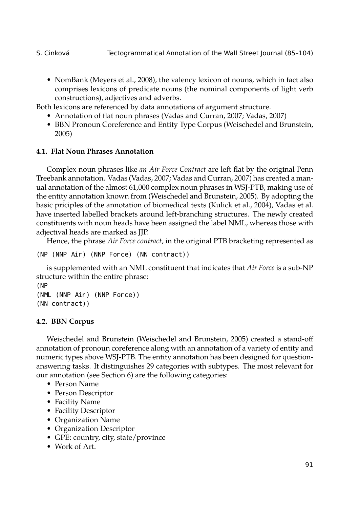• NomBank (Meyers et al., 2008), the valency lexicon of nouns, which in fact also comprises lexicons of predicate nouns (the nominal components of light verb constructions), adjectives and adverbs.

Both lexicons are referenced by data annotations of argument structure.

- Annotation of flat noun phrases (Vadas and Curran, 2007; Vadas, 2007)
- BBN Pronoun Coreference and Entity Type Corpus (Weischedel and Brunstein, 2005)

# **4.1. Flat Noun Phrases Annotation**

Complex noun phrases like *an Air Force Contract* are left flat by the original Penn Treebank annotation. Vadas (Vadas, 2007; Vadas and Curran, 2007) has created a manual annotation of the almost 61,000 complex noun phrases in WSJ-PTB, making use of the entity annotation known from (Weischedel and Brunstein, 2005). By adopting the basic priciples of the annotation of biomedical texts (Kulick et al., 2004), Vadas et al. have inserted labelled brackets around left-branching structures. The newly created constituents with noun heads have been assigned the label NML, whereas those with adjectival heads are marked as JJP.

Hence, the phrase *Air Force contract*, in the original PTB bracketing represented as

```
(NP (NNP Air) (NNP Force) (NN contract))
```
is supplemented with an NML constituent that indicates that *Air Force* is a sub-NP structure within the entire phrase:

```
(NP
(NML (NNP Air) (NNP Force))
(NN contract))
```
# **4.2. BBN Corpus**

Weischedel and Brunstein (Weischedel and Brunstein, 2005) created a stand-off annotation of pronoun coreference along with an annotation of a variety of entity and numeric types above WSJ-PTB. The entity annotation has been designed for questionanswering tasks. It distinguishes 29 categories with subtypes. The most relevant for our annotation (see Section 6) are the following categories:

- Person Name
- Person Descriptor
- Facility Name
- Facility Descriptor
- Organization Name
- Organization Descriptor
- GPE: country, city, state/province
- Work of Art.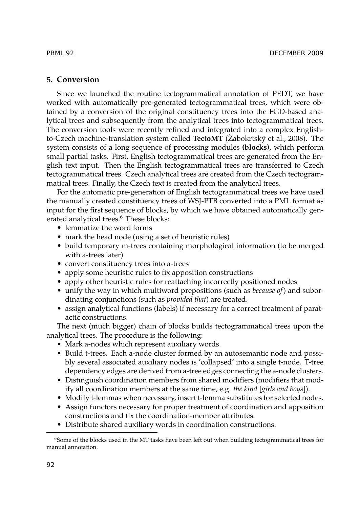### **5. Conversion**

Since we launched the routine tectogrammatical annotation of PEDT, we have worked with automatically pre-generated tectogrammatical trees, which were obtained by a conversion of the original constituency trees into the FGD-based analytical trees and subsequently from the analytical trees into tectogrammatical trees. The conversion tools were recently refined and integrated into a complex Englishto-Czech machine-translation system called **TectoMT** (Žabokrtský et al., 2008). The system consists of a long sequence of processing modules **(blocks)**, which perform small partial tasks. First, English tectogrammatical trees are generated from the English text input. Then the English tectogrammatical trees are transferred to Czech tectogrammatical trees. Czech analytical trees are created from the Czech tectogrammatical trees. Finally, the Czech text is created from the analytical trees.

For the automatic pre-generation of English tectogrammatical trees we have used the manually created constituency trees of WSJ-PTB converted into a PML format as input for the first sequence of blocks, by which we have obtained automatically generated analytical trees.<sup>6</sup> These blocks:

- lemmatize the word forms
- mark the head node (using a set of heuristic rules)
- build temporary m-trees containing morphological information (to be merged with a-trees later)
- convert constituency trees into a-trees
- apply some heuristic rules to fix apposition constructions
- apply other heuristic rules for reattaching incorrectly positioned nodes
- unify the way in which multiword prepositions (such as *because of*) and subordinating conjunctions (such as *provided that*) are treated.
- assign analytical functions (labels) if necessary for a correct treatment of paratactic constructions.

The next (much bigger) chain of blocks builds tectogrammatical trees upon the analytical trees. The procedure is the following:

- Mark a-nodes which represent auxiliary words.
- Build t-trees. Each a-node cluster formed by an autosemantic node and possibly several associated auxiliary nodes is 'collapsed' into a single t-node. T-tree dependency edges are derived from a-tree edges connecting the a-node clusters.
- Distinguish coordination members from shared modifiers (modifiers that modify all coordination members at the same time, e.g. *the kind* [*girls and boys*]).
- Modify t-lemmas when necessary, insert t-lemma substitutes for selected nodes.
- Assign functors necessary for proper treatment of coordination and apposition constructions and fix the coordination-member attributes.
- Distribute shared auxiliary words in coordination constructions.

<sup>&</sup>lt;sup>6</sup>Some of the blocks used in the MT tasks have been left out when building tectogrammatical trees for manual annotation.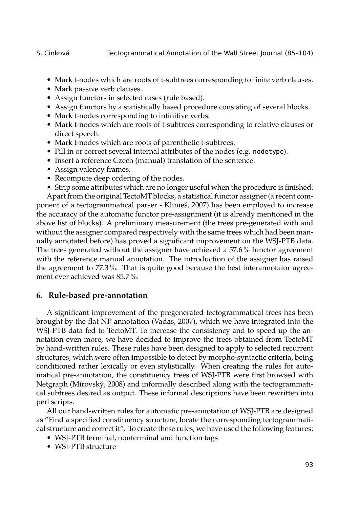- Mark t-nodes which are roots of t-subtrees corresponding to finite verb clauses.
- Mark passive verb clauses.
- Assign functors in selected cases (rule based).
- Assign functors by a statistically based procedure consisting of several blocks.
- Mark t-nodes corresponding to infinitive verbs.
- Mark t-nodes which are roots of t-subtrees corresponding to relative clauses or direct speech.
- Mark t-nodes which are roots of parenthetic t-subtrees.
- Fill in or correct several internal attributes of the nodes (e.g. nodetype).
- Insert a reference Czech (manual) translation of the sentence.
- Assign valency frames.
- Recompute deep ordering of the nodes.
- Strip some attributes which are no longer useful when the procedure is finished.

Apart from the original TectoMT blocks, a statistical functor assigner (a recent component of a tectogrammatical parser - Klimeš, 2007) has been employed to increase the accuracy of the automatic functor pre-assignment (it is already mentioned in the above list of blocks). A preliminary measurement (the trees pre-generated with and without the assigner compared respectively with the same trees which had been manually annotated before) has proved a significant improvement on the WSJ-PTB data. The trees generated without the assigner have achieved a 57.6 % functor agreement with the reference manual annotation. The introduction of the assigner has raised the agreement to 77.3 %. That is quite good because the best interannotator agreement ever achieved was 85.7 %.

# **6. Rule-based pre-annotation**

A significant improvement of the pregenerated tectogrammatical trees has been brought by the flat NP annotation (Vadas, 2007), which we have integrated into the WSJ-PTB data fed to TectoMT. To increase the consistency and to speed up the annotation even more, we have decided to improve the trees obtained from TectoMT by hand-written rules. These rules have been designed to apply to selected recurrent structures, which were often impossible to detect by morpho-syntactic criteria, being conditioned rather lexically or even stylistically. When creating the rules for automatical pre-annotation, the constituency trees of WSJ-PTB were first browsed with Netgraph (Mírovský, 2008) and informally described along with the tectogrammatical subtrees desired as output. These informal descriptions have been rewritten into perl scripts.

All our hand-written rules for automatic pre-annotation of WSJ-PTB are designed as "Find a specified constituency structure, locate the corresponding tectogrammatical structure and correct it". To create these rules, we have used the following features:

- WSJ-PTB terminal, nonterminal and function tags
- WSJ-PTB structure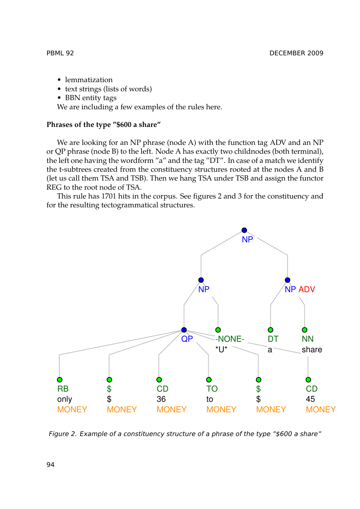- lemmatization
- text strings (lists of words)
- BBN entity tags

We are including a few examples of the rules here.

# **Phrases of the type "\$600 a share"**

We are looking for an NP phrase (node A) with the function tag ADV and an NP or QP phrase (node B) to the left. Node A has exactly two childnodes (both terminal), the left one having the wordform "a" and the tag "DT". In case of a match we identify the t-subtrees created from the constituency structures rooted at the nodes A and B (let us call them TSA and TSB). Then we hang TSA under TSB and assign the functor REG to the root node of TSA.

This rule has 1701 hits in the corpus. See figures 2 and 3 for the constituency and for the resulting tectogrammatical structures.



*Figure 2. Example of a constituency structure of a phrase of the type "\$600 a share"*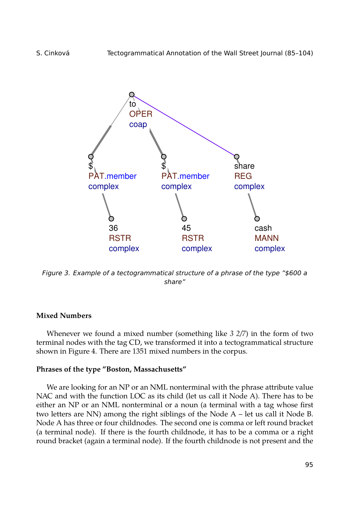

*Figure 3. Example of a tectogrammatical structure of a phrase of the type "\$600 a share"*

# **Mixed Numbers**

Whenever we found a mixed number (something like *3 2/7*) in the form of two terminal nodes with the tag CD, we transformed it into a tectogrammatical structure shown in Figure 4. There are 1351 mixed numbers in the corpus.

### **Phrases of the type "Boston, Massachusetts"**

We are looking for an NP or an NML nonterminal with the phrase attribute value NAC and with the function LOC as its child (let us call it Node A). There has to be either an NP or an NML nonterminal or a noun (a terminal with a tag whose first two letters are NN) among the right siblings of the Node A – let us call it Node B. Node A has three or four childnodes. The second one is comma or left round bracket (a terminal node). If there is the fourth childnode, it has to be a comma or a right round bracket (again a terminal node). If the fourth childnode is not present and the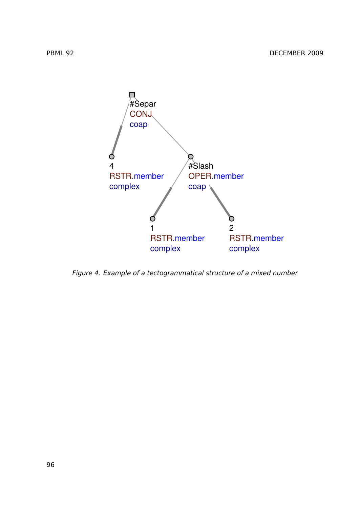

*Figure 4. Example of a tectogrammatical structure of a mixed number*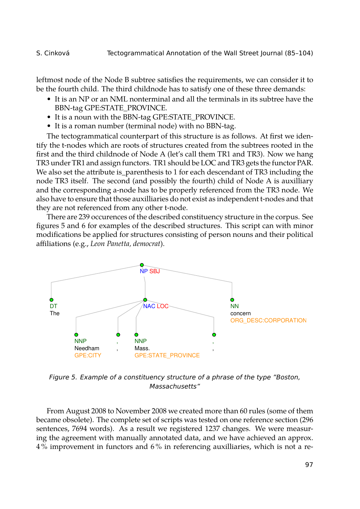leftmost node of the Node B subtree satisfies the requirements, we can consider it to be the fourth child. The third childnode has to satisfy one of these three demands:

- It is an NP or an NML nonterminal and all the terminals in its subtree have the BBN-tag GPE:STATE\_PROVINCE.
- It is a noun with the BBN-tag GPE:STATE\_PROVINCE.
- It is a roman number (terminal node) with no BBN-tag.

The tectogrammatical counterpart of this structure is as follows. At first we identify the t-nodes which are roots of structures created from the subtrees rooted in the first and the third childnode of Node A (let's call them TR1 and TR3). Now we hang TR3 under TR1 and assign functors. TR1 should be LOC and TR3 gets the functor PAR. We also set the attribute is\_parenthesis to 1 for each descendant of TR3 including the node TR3 itself. The second (and possibly the fourth) child of Node A is auxilliary and the corresponding a-node has to be properly referenced from the TR3 node. We also have to ensure that those auxilliaries do not exist as independent t-nodes and that they are not referenced from any other t-node.

There are 239 occurences of the described constituency structure in the corpus. See figures 5 and 6 for examples of the described structures. This script can with minor modifications be applied for structures consisting of person nouns and their political affiliations (e.g., *Leon Panetta, democrat*).



*Figure 5. Example of a constituency structure of a phrase of the type "Boston, Massachusetts"*

From August 2008 to November 2008 we created more than 60 rules (some of them became obsolete). The complete set of scripts was tested on one reference section (296 sentences, 7694 words). As a result we registered 1237 changes. We were measuring the agreement with manually annotated data, and we have achieved an approx. 4 % improvement in functors and 6 % in referencing auxilliaries, which is not a re-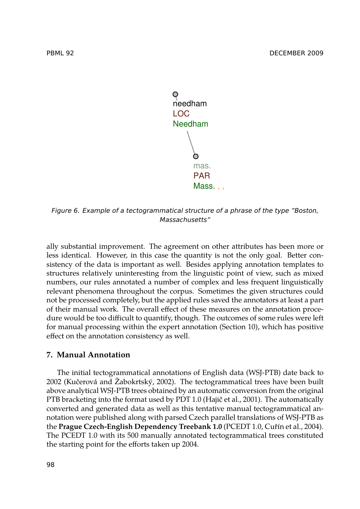



*Figure 6. Example of a tectogrammatical structure of a phrase of the type "Boston, Massachusetts"*

ally substantial improvement. The agreement on other attributes has been more or less identical. However, in this case the quantity is not the only goal. Better consistency of the data is important as well. Besides applying annotation templates to structures relatively uninteresting from the linguistic point of view, such as mixed numbers, our rules annotated a number of complex and less frequent linguistically relevant phenomena throughout the corpus. Sometimes the given structures could not be processed completely, but the applied rules saved the annotators at least a part of their manual work. The overall effect of these measures on the annotation procedure would be too difficult to quantify, though. The outcomes of some rules were left for manual processing within the expert annotation (Section 10), which has positive effect on the annotation consistency as well.

### **7. Manual Annotation**

The initial tectogrammatical annotations of English data (WSJ-PTB) date back to 2002 (Kučerová and Žabokrtský, 2002). The tectogrammatical trees have been built above analytical WSJ-PTB trees obtained by an automatic conversion from the original PTB bracketing into the format used by PDT 1.0 (Hajič et al., 2001). The automatically converted and generated data as well as this tentative manual tectogrammatical annotation were published along with parsed Czech parallel translations of WSJ-PTB as the **Prague Czech-English Dependency Treebank 1.0** (PCEDT 1.0, Cuřín et al., 2004). The PCEDT 1.0 with its 500 manually annotated tectogrammatical trees constituted the starting point for the efforts taken up 2004.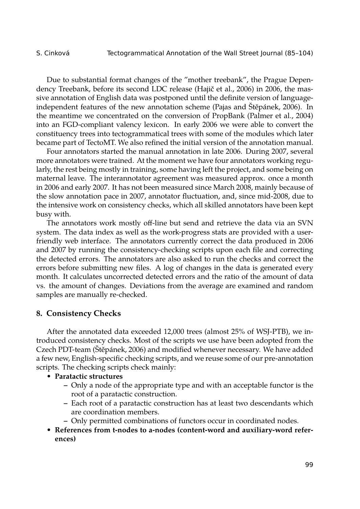Due to substantial format changes of the "mother treebank", the Prague Dependency Treebank, before its second LDC release (Hajič et al., 2006) in 2006, the massive annotation of English data was postponed until the definite version of languageindependent features of the new annotation scheme (Pajas and Štěpánek, 2006). In the meantime we concentrated on the conversion of PropBank (Palmer et al., 2004) into an FGD-compliant valency lexicon. In early 2006 we were able to convert the constituency trees into tectogrammatical trees with some of the modules which later became part of TectoMT. We also refined the initial version of the annotation manual.

Four annotators started the manual annotation in late 2006. During 2007, several more annotators were trained. At the moment we have four annotators working regularly, the rest being mostly in training, some having left the project, and some being on maternal leave. The interannotator agreement was measured approx. once a month in 2006 and early 2007. It has not been measured since March 2008, mainly because of the slow annotation pace in 2007, annotator fluctuation, and, since mid-2008, due to the intensive work on consistency checks, which all skilled annotators have been kept busy with.

The annotators work mostly off-line but send and retrieve the data via an SVN system. The data index as well as the work-progress stats are provided with a userfriendly web interface. The annotators currently correct the data produced in 2006 and 2007 by running the consistency-checking scripts upon each file and correcting the detected errors. The annotators are also asked to run the checks and correct the errors before submitting new files. A log of changes in the data is generated every month. It calculates uncorrected detected errors and the ratio of the amount of data vs. the amount of changes. Deviations from the average are examined and random samples are manually re-checked.

### **8. Consistency Checks**

After the annotated data exceeded 12,000 trees (almost 25% of WSJ-PTB), we introduced consistency checks. Most of the scripts we use have been adopted from the Czech PDT-team (Štěpánek, 2006) and modified whenever necessary. We have added a few new, English-specific checking scripts, and we reuse some of our pre-annotation scripts. The checking scripts check mainly:

- **Paratactic structures**
	- **–** Only a node of the appropriate type and with an acceptable functor is the root of a paratactic construction.
	- **–** Each root of a paratactic construction has at least two descendants which are coordination members.
	- **–** Only permitted combinations of functors occur in coordinated nodes.
- **References from t-nodes to a-nodes (content-word and auxiliary-word references)**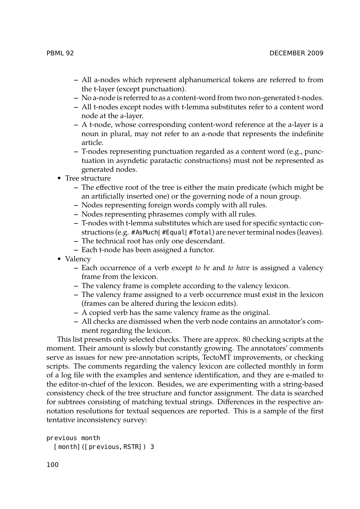- **–** All a-nodes which represent alphanumerical tokens are referred to from the t-layer (except punctuation).
- **–** No a-node is referred to as a content-word from two non-generated t-nodes.
- **–** All t-nodes except nodes with t-lemma substitutes refer to a content word node at the a-layer.
- **–** A t-node, whose corresponding content-word reference at the a-layer is a noun in plural, may not refer to an a-node that represents the indefinite article.
- **–** T-nodes representing punctuation regarded as a content word (e.g., punctuation in asyndetic paratactic constructions) must not be represented as generated nodes.
- Tree structure
	- **–** The effective root of the tree is either the main predicate (which might be an artificially inserted one) or the governing node of a noun group.
	- **–** Nodes representing foreign words comply with all rules.
	- **–** Nodes representing phrasemes comply with all rules.
	- **–** T-nodes with t-lemma substitutes which are used for specific syntactic constructions (e.g. #AsMuch|#Equal|#Total) are never terminal nodes (leaves).
	- **–** The technical root has only one descendant.
	- **–** Each t-node has been assigned a functor.
- Valency
	- **–** Each occurrence of a verb except *to be* and *to have* is assigned a valency frame from the lexicon.
	- **–** The valency frame is complete according to the valency lexicon.
	- **–** The valency frame assigned to a verb occurrence must exist in the lexicon (frames can be altered during the lexicon edits).
	- **–** A copied verb has the same valency frame as the original.
	- **–** All checks are dismissed when the verb node contains an annotator's comment regarding the lexicon.

This list presents only selected checks. There are approx. 80 checking scripts at the moment. Their amount is slowly but constantly growing. The annotators' comments serve as issues for new pre-annotation scripts, TectoMT improvements, or checking scripts. The comments regarding the valency lexicon are collected monthly in form of a log file with the examples and sentence identification, and they are e-mailed to the editor-in-chief of the lexicon. Besides, we are experimenting with a string-based consistency check of the tree structure and functor assignment. The data is searched for subtrees consisting of matching textual strings. Differences in the respective annotation resolutions for textual sequences are reported. This is a sample of the first tentative inconsistency survey:

```
previous month
 [month]([previous, RSTR]) 3
```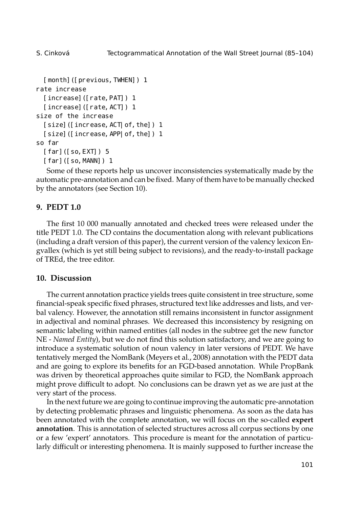```
[month]([previous,TWHEN]) 1
rate increase
  [increase]([rate, PAT]) 1
  [increase]([rate, ACT]) 1
size of the increase
  [size]([increase, ACT| of, the]) 1
  [size]([increase,APP|of,the]) 1
so far
  [far]([so, EXT]) 5
  [far]([so,MANN]) 1
```
Some of these reports help us uncover inconsistencies systematically made by the automatic pre-annotation and can be fixed. Many of them have to be manually checked by the annotators (see Section 10).

# **9. PEDT 1.0**

The first 10 000 manually annotated and checked trees were released under the title PEDT 1.0. The CD contains the documentation along with relevant publications (including a draft version of this paper), the current version of the valency lexicon Engvallex (which is yet still being subject to revisions), and the ready-to-install package of TREd, the tree editor.

### **10. Discussion**

The current annotation practice yields trees quite consistent in tree structure, some financial-speak specific fixed phrases, structured text like addresses and lists, and verbal valency. However, the annotation still remains inconsistent in functor assignment in adjectival and nominal phrases. We decreased this inconsistency by resigning on semantic labeling within named entities (all nodes in the subtree get the new functor NE - *Named Entity*), but we do not find this solution satisfactory, and we are going to introduce a systematic solution of noun valency in later versions of PEDT. We have tentatively merged the NomBank (Meyers et al., 2008) annotation with the PEDT data and are going to explore its benefits for an FGD-based annotation. While PropBank was driven by theoretical approaches quite similar to FGD, the NomBank approach might prove difficult to adopt. No conclusions can be drawn yet as we are just at the very start of the process.

In the next future we are going to continue improving the automatic pre-annotation by detecting problematic phrases and linguistic phenomena. As soon as the data has been annotated with the complete annotation, we will focus on the so-called **expert annotation**. This is annotation of selected structures across all corpus sections by one or a few 'expert' annotators. This procedure is meant for the annotation of particularly difficult or interesting phenomena. It is mainly supposed to further increase the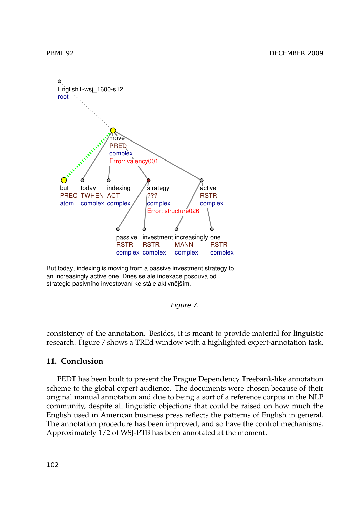

But today, indexing is moving from a passive investment strategy to an increasingly active one. Dnes se ale indexace posouvá od strategie pasivního investování ke stále aktivnějším.

### *Figure 7.*

consistency of the annotation. Besides, it is meant to provide material for linguistic research. Figure 7 shows a TREd window with a highlighted expert-annotation task.

### **11. Conclusion**

PEDT has been built to present the Prague Dependency Treebank-like annotation scheme to the global expert audience. The documents were chosen because of their original manual annotation and due to being a sort of a reference corpus in the NLP community, despite all linguistic objections that could be raised on how much the English used in American business press reflects the patterns of English in general. The annotation procedure has been improved, and so have the control mechanisms. Approximately 1/2 of WSJ-PTB has been annotated at the moment.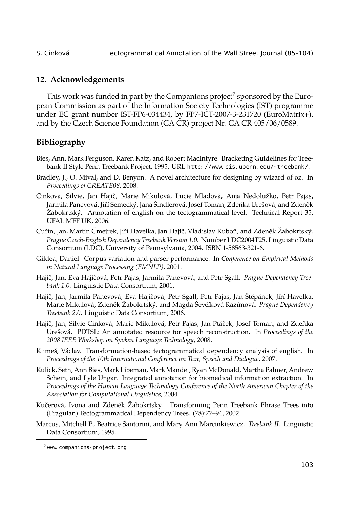S. Cinková Tectogrammatical Annotation of the Wall Street Journal (85–104)

### **12. Acknowledgements**

This work was funded in part by the Companions project $^7$  sponsored by the European Commission as part of the Information Society Technologies (IST) programme under EC grant number IST-FP6-034434, by FP7-ICT-2007-3-231720 (EuroMatrix+), and by the Czech Science Foundation (GA CR) project Nr. GA CR 405/06/0589.

# **Bibliography**

- Bies, Ann, Mark Ferguson, Karen Katz, and Robert MacIntyre. Bracketing Guidelines for Treebank II Style Penn Treebank Project, 1995. URL http: //www.cis.upenn.edu/~treebank/.
- Bradley, J., O. Mival, and D. Benyon. A novel architecture for designing by wizard of oz. In *Proceedings of CREATE08*, 2008.
- Cinková, Silvie, Jan Hajič, Marie Mikulová, Lucie Mladová, Anja Nedolužko, Petr Pajas, Jarmila Panevová, Jiří Semecký, Jana Šindlerová, Josef Toman, Zdeňka Urešová, and Zdeněk Žabokrtský. Annotation of english on the tectogrammatical level. Technical Report 35, UFAL MFF UK, 2006.
- Cuřín, Jan, Martin Čmejrek, Jiří Havelka, Jan Hajič, Vladislav Kuboň, and Zdeněk Žabokrtský. *Prague Czech-English Dependency Treebank Version 1.0*. Number LDC2004T25. Linguistic Data Consortium (LDC), University of Pennsylvania, 2004. ISBN 1-58563-321-6.
- Gildea, Daniel. Corpus variation and parser performance. In *Conference on Empirical Methods in Natural Language Processing (EMNLP)*, 2001.
- Hajič, Jan, Eva Hajičová, Petr Pajas, Jarmila Panevová, and Petr Sgall. *Prague Dependency Treebank 1.0*. Linguistic Data Consortium, 2001.
- Hajič, Jan, Jarmila Panevová, Eva Hajičová, Petr Sgall, Petr Pajas, Jan Štěpánek, Jiří Havelka, Marie Mikulová, Zdeněk Žabokrtský, and Magda Ševčíková Razímová. *Prague Dependency Treebank 2.0*. Linguistic Data Consortium, 2006.
- Hajič, Jan, Silvie Cinková, Marie Mikulová, Petr Pajas, Jan Ptáček, Josef Toman, and Zdeňka Urešová. PDTSL: An annotated resource for speech reconstruction. In *Proceedings of the 2008 IEEE Workshop on Spoken Language Technology*, 2008.
- Klimeš, Václav. Transformation-based tectogrammatical dependency analysis of english. In *Proceedings of the 10th International Conference on Text, Speech and Dialogue*, 2007.
- Kulick, Seth, Ann Bies, Mark Libeman, Mark Mandel, Ryan McDonald, Martha Palmer, Andrew Schein, and Lyle Ungar. Integrated annotation for biomedical information extraction. In *Proceedings of the Human Language Technology Conference of the North American Chapter of the Association for Computational Linguistics*, 2004.
- Kučerová, Ivona and Zdeněk Žabokrtský. Transforming Penn Treebank Phrase Trees into (Praguian) Tectogrammatical Dependency Trees. (78):77–94, 2002.
- Marcus, Mitchell P., Beatrice Santorini, and Mary Ann Marcinkiewicz. *Treebank II*. Linguistic Data Consortium, 1995.

 $7$ www.companions-project.org